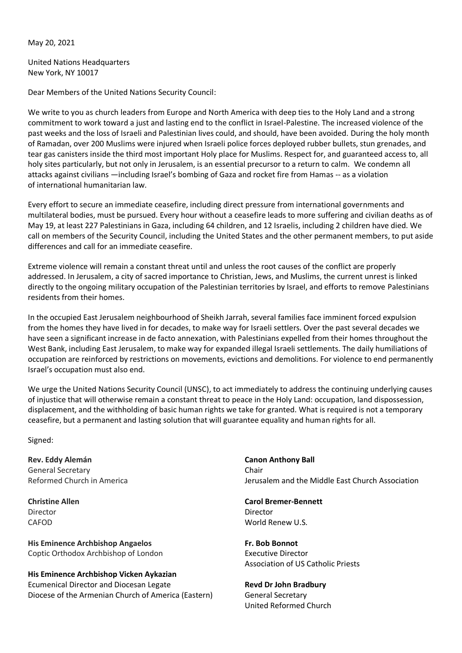May 20, 2021

United Nations Headquarters New York, NY 10017

Dear Members of the United Nations Security Council:

We write to you as church leaders from Europe and North America with deep ties to the Holy Land and a strong commitment to work toward a just and lasting end to the conflict in Israel-Palestine. The increased violence of the past weeks and the loss of Israeli and Palestinian lives could, and should, have been avoided. During the holy month of Ramadan, over 200 Muslims were injured when Israeli police forces deployed rubber bullets, stun grenades, and tear gas canisters inside the third most important Holy place for Muslims. Respect for, and guaranteed access to, all holy sites particularly, but not only in Jerusalem, is an essential precursor to a return to calm. We condemn all attacks against civilians —including Israel's bombing of Gaza and rocket fire from Hamas -- as a violation of international humanitarian law.

Every effort to secure an immediate ceasefire, including direct pressure from international governments and multilateral bodies, must be pursued. Every hour without a ceasefire leads to more suffering and civilian deaths as of May 19, at least 227 Palestinians in Gaza, including 64 children, and 12 Israelis, including 2 children have died. We call on members of the Security Council, including the United States and the other permanent members, to put aside differences and call for an immediate ceasefire.

Extreme violence will remain a constant threat until and unless the root causes of the conflict are properly addressed. In Jerusalem, a city of sacred importance to Christian, Jews, and Muslims, the current unrest is linked directly to the ongoing military occupation of the Palestinian territories by Israel, and efforts to remove Palestinians residents from their homes.

In the occupied East Jerusalem neighbourhood of Sheikh Jarrah, several families face imminent forced expulsion from the homes they have lived in for decades, to make way for Israeli settlers. Over the past several decades we have seen a significant increase in de facto annexation, with Palestinians expelled from their homes throughout the West Bank, including East Jerusalem, to make way for expanded illegal Israeli settlements. The daily humiliations of occupation are reinforced by restrictions on movements, evictions and demolitions. For violence to end permanently Israel's occupation must also end.

We urge the United Nations Security Council (UNSC), to act immediately to address the continuing underlying causes of injustice that will otherwise remain a constant threat to peace in the Holy Land: occupation, land dispossession, displacement, and the withholding of basic human rights we take for granted. What is required is not a temporary ceasefire, but a permanent and lasting solution that will guarantee equality and human rights for all.

Signed:

**Rev. Eddy Alemán** General Secretary Reformed Church in America

**Christine Allen** Director CAFOD

**His Eminence Archbishop Angaelos** Coptic Orthodox Archbishop of London

**His Eminence Archbishop Vicken Aykazian** Ecumenical Director and Diocesan Legate Diocese of the Armenian Church of America (Eastern)

**Canon Anthony Ball** Chair Jerusalem and the Middle East Church Association

**Carol Bremer-Bennett** Director World Renew U.S.

**Fr. Bob Bonnot** Executive Director Association of US Catholic Priests

**Revd Dr John Bradbury** General Secretary United Reformed Church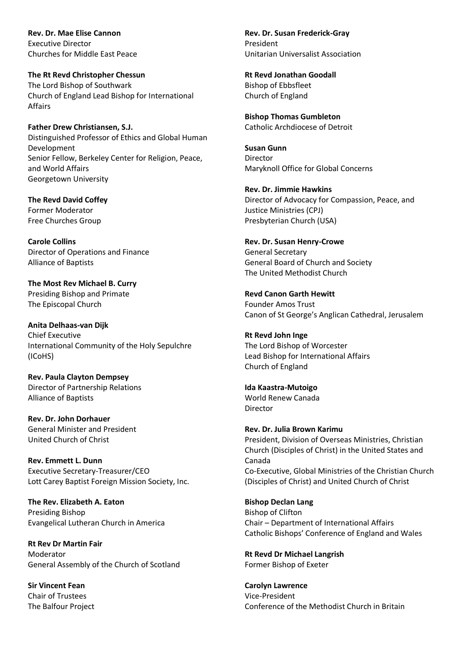**Rev. Dr. Mae Elise Cannon** Executive Director Churches for Middle East Peace

**The Rt Revd Christopher Chessun** The Lord Bishop of Southwark Church of England Lead Bishop for International Affairs

**Father Drew Christiansen, S.J.** Distinguished Professor of Ethics and Global Human Development Senior Fellow, Berkeley Center for Religion, Peace, and World Affairs Georgetown University

**The Revd David Coffey** Former Moderator Free Churches Group

**Carole Collins** Director of Operations and Finance Alliance of Baptists

**The Most Rev Michael B. Curry** Presiding Bishop and Primate The Episcopal Church

**Anita Delhaas-van Dijk** Chief Executive International Community of the Holy Sepulchre (ICoHS)

**Rev. Paula Clayton Dempsey** Director of Partnership Relations Alliance of Baptists

**Rev. Dr. John Dorhauer** General Minister and President United Church of Christ

**Rev. Emmett L. Dunn** Executive Secretary-Treasurer/CEO Lott Carey Baptist Foreign Mission Society, Inc.

**The Rev. Elizabeth A. Eaton** Presiding Bishop Evangelical Lutheran Church in America

**Rt Rev Dr Martin Fair** Moderator General Assembly of the Church of Scotland

**Sir Vincent Fean** Chair of Trustees The Balfour Project **Rev. Dr. Susan Frederick-Gray** President Unitarian Universalist Association

**Rt Revd Jonathan Goodall** Bishop of Ebbsfleet Church of England

**Bishop Thomas Gumbleton** Catholic Archdiocese of Detroit

**Susan Gunn** Director Maryknoll Office for Global Concerns

**Rev. Dr. Jimmie Hawkins** Director of Advocacy for Compassion, Peace, and Justice Ministries (CPJ) Presbyterian Church (USA)

**Rev. Dr. Susan Henry-Crowe** General Secretary General Board of Church and Society The United Methodist Church

**Revd Canon Garth Hewitt** Founder Amos Trust Canon of St George's Anglican Cathedral, Jerusalem

**Rt Revd John Inge** The Lord Bishop of Worcester Lead Bishop for International Affairs Church of England

**Ida Kaastra-Mutoigo** World Renew Canada Director

**Rev. Dr. Julia Brown Karimu** President, Division of Overseas Ministries, Christian Church (Disciples of Christ) in the United States and Canada Co-Executive, Global Ministries of the Christian Church (Disciples of Christ) and United Church of Christ

**Bishop Declan Lang** Bishop of Clifton Chair – Department of International Affairs Catholic Bishops' Conference of England and Wales

**Rt Revd Dr Michael Langrish** Former Bishop of Exeter

**Carolyn Lawrence** Vice-President Conference of the Methodist Church in Britain